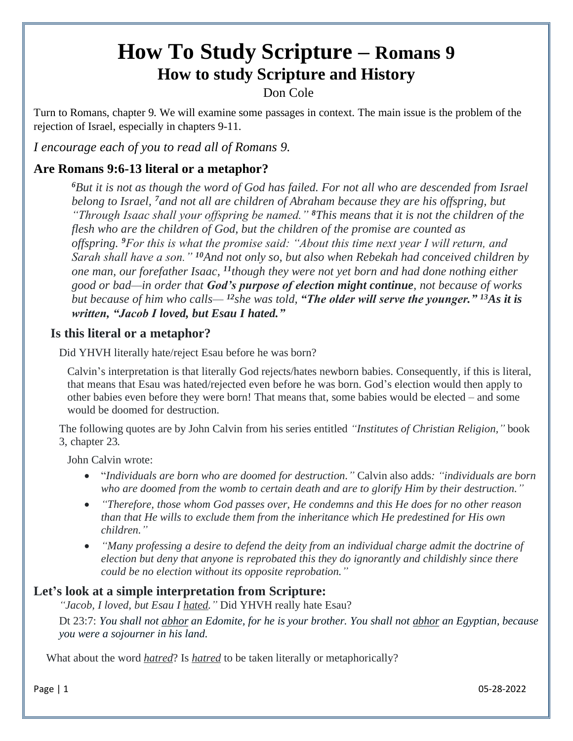# **How To Study Scripture – Romans 9 How to study Scripture and History**

Don Cole

Turn to Romans, chapter 9. We will examine some passages in context. The main issue is the problem of the rejection of Israel, especially in chapters 9-11.

*I encourage each of you to read all of Romans 9.*

## **Are Romans 9:6-13 literal or a metaphor?**

*[6](http://biblehub.com/romans/9-6.htm)But it is not as though the word of God has failed. For not all who are descended from Israel belong to Israel, [7](http://biblehub.com/romans/9-7.htm)and not all are children of Abraham because they are his offspring, but "Through Isaac shall your offspring be named." [8](http://biblehub.com/romans/9-8.htm)This means that it is not the children of the flesh who are the children of God, but the children of the promise are counted as offspring. [9](http://biblehub.com/romans/9-9.htm)For this is what the promise said: "About this time next year I will return, and Sarah shall have a son." [10](http://biblehub.com/romans/9-10.htm)And not only so, but also when Rebekah had conceived children by one man, our forefather Isaac, [11](http://biblehub.com/romans/9-11.htm)though they were not yet born and had done nothing either good or bad—in order that God's purpose of election might continue, not because of works but because of him who calls— [12](http://biblehub.com/romans/9-12.htm)she was told, "The older will serve the younger." [13](http://biblehub.com/romans/9-13.htm)As it is written, "Jacob I loved, but Esau I hated."*

#### **Is this literal or a metaphor?**

Did YHVH literally hate/reject Esau before he was born?

Calvin's interpretation is that literally God rejects/hates newborn babies. Consequently, if this is literal, that means that Esau was hated/rejected even before he was born. God's election would then apply to other babies even before they were born! That means that, some babies would be elected – and some would be doomed for destruction.

The following quotes are by John Calvin from his series entitled *"Institutes of Christian Religion,"* book 3, chapter 23*.*

John Calvin wrote:

- "*Individuals are born who are doomed for destruction."* Calvin also adds*: "individuals are born who are doomed from the womb to certain death and are to glorify Him by their destruction."*
- *"Therefore, those whom God passes over, He condemns and this He does for no other reason than that He wills to exclude them from the inheritance which He predestined for His own children."*
- *"Many professing a desire to defend the deity from an individual charge admit the doctrine of election but deny that anyone is reprobated this they do ignorantly and childishly since there could be no election without its opposite reprobation."*

### **Let's look at a simple interpretation from Scripture:**

*"Jacob, I loved, but Esau I hated."* Did YHVH really hate Esau?

Dt 23:7: *You shall not abhor an Edomite, for he is your brother. You shall not abhor an Egyptian, because you were a sojourner in his land.*

What about the word *hatred*? Is *hatred* to be taken literally or metaphorically?